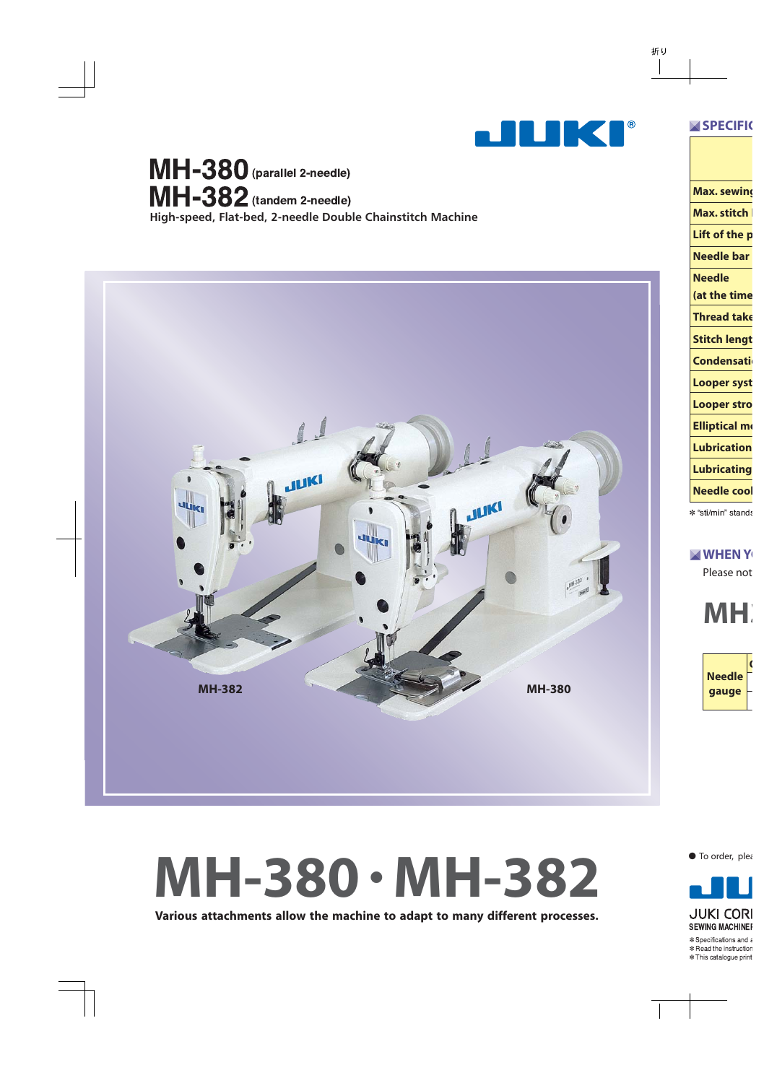

**High-speed, Flat-bed, 2-needle Double Chainstitch Machine**  $MH-380$  (parallel 2-needle)  $MH-382$  (tandem 2-needle)



# **MH-380 • MH-382**

**Various attachments allow the machine to adapt to many different processes.**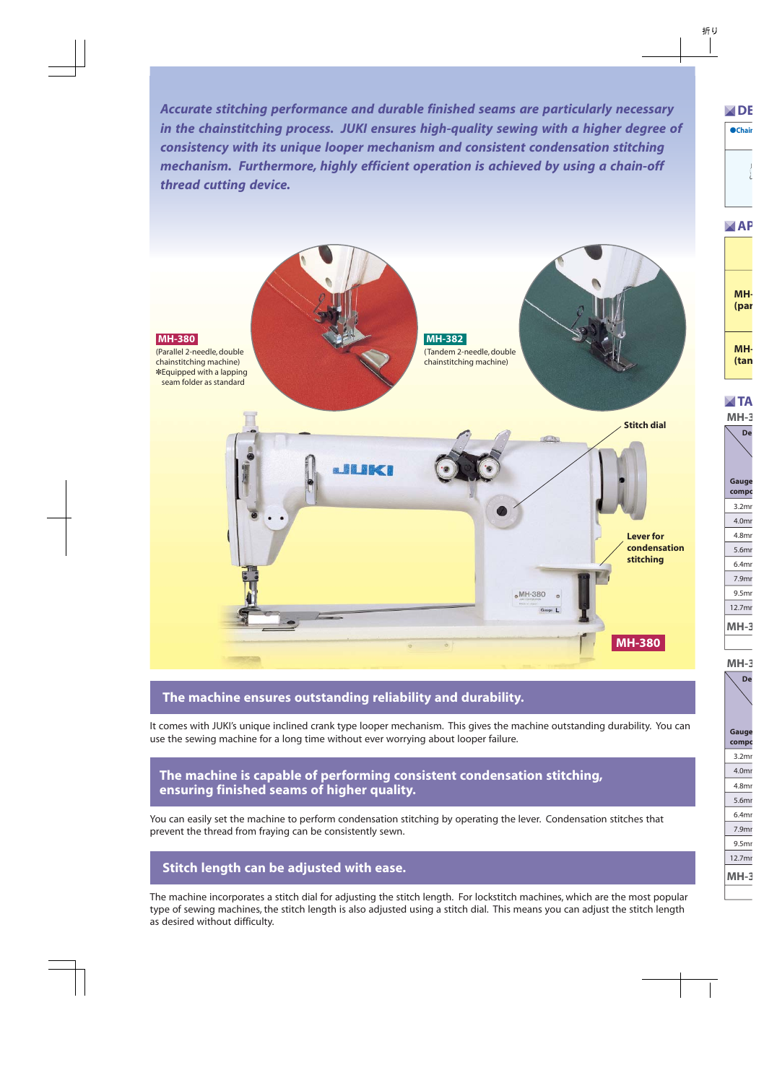Accurate stitching performance and durable finished seams are particularly necessary *in the chainstitching process. JUKI ensures high-quality sewing with a higher degree of consistency with its unique looper mechanism and consistent condensation stitching mechanism. Furthermore, highly efficient operation is achieved by using a chain-off thread cutting device.*



#### **The machine ensures outstanding reliability and durability.**

It comes with JUKI's unique inclined crank type looper mechanism. This gives the machine outstanding durability. You can use the sewing machine for a long time without ever worrying about looper failure.

#### **The machine is capable of performing consistent condensation stitching, ensuring finished seams of higher quality.**

You can easily set the machine to perform condensation stitching by operating the lever. Condensation stitches that prevent the thread from fraying can be consistently sewn.

#### **Stitch length can be adjusted with ease.**

The machine incorporates a stitch dial for adjusting the stitch length. For lockstitch machines, which are the most popular type of sewing machines, the stitch length is also adjusted using a stitch dial. This means you can adjust the stitch length as desired without difficulty.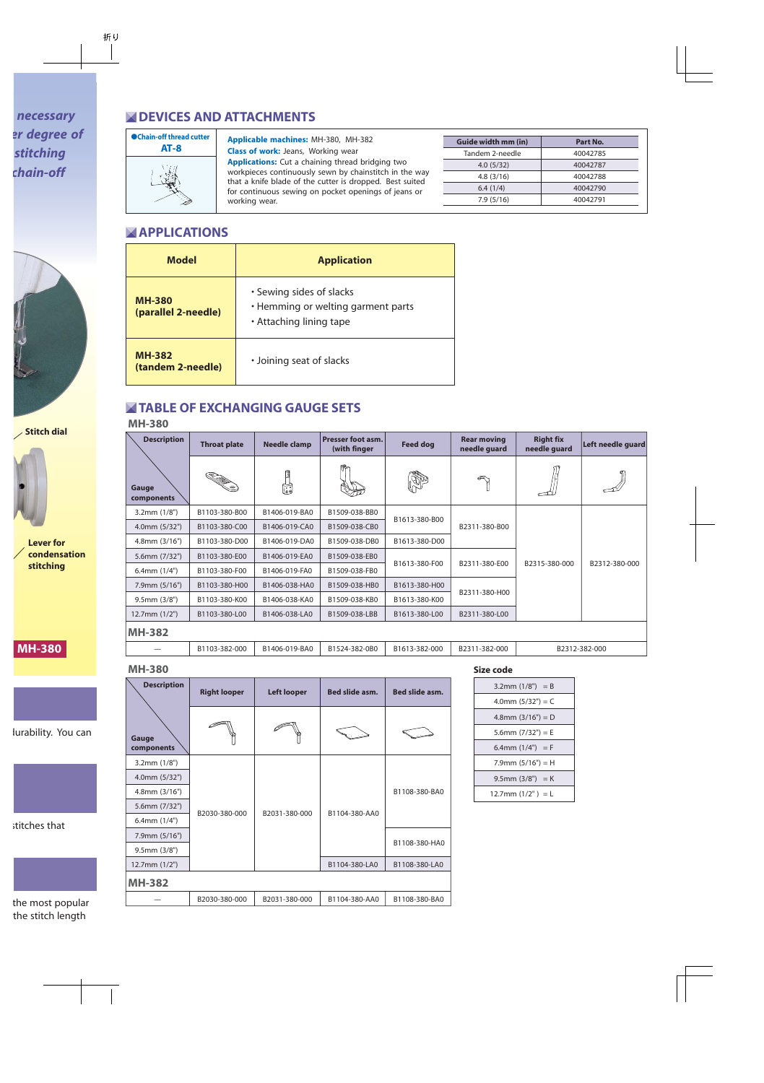# **NEVICES AND ATTACHMENTS**



#### **Applicable machines:** MH-380, MH-382

**Class of work:** Jeans, Working wear **Applications:** Cut a chaining thread bridging two workpieces continuously sewn by chainstitch in the way that a knife blade of the cutter is dropped. Best suited for continuous sewing on pocket openings of jeans or working wear.

| Guide width mm (in) | Part No. |
|---------------------|----------|
| Tandem 2-needle     | 40042785 |
| 4.0(5/32)           | 40042787 |
| 4.8(3/16)           | 40042788 |
| 6.4(1/4)            | 40042790 |
| 7.9(5/16)           | 40042791 |

## **APPLICATIONS**

| <b>Model</b>                         | <b>Application</b>                                                                        |  |  |  |  |
|--------------------------------------|-------------------------------------------------------------------------------------------|--|--|--|--|
| <b>MH-380</b><br>(parallel 2-needle) | • Sewing sides of slacks<br>• Hemming or welting garment parts<br>• Attaching lining tape |  |  |  |  |
| <b>MH-382</b><br>(tandem 2-needle)   | • Joining seat of slacks                                                                  |  |  |  |  |

## **TABLE OF EXCHANGING GAUGE SETS**

#### **MH-380**

| <b>Description</b>  | Needle clamp<br><b>Throat plate</b> |                           | Presser foot asm.<br><b>Feed dog</b><br>(with finger |                                | <b>Rear moving</b><br>needle guard | <b>Right fix</b><br>needle quard | Left needle guard |
|---------------------|-------------------------------------|---------------------------|------------------------------------------------------|--------------------------------|------------------------------------|----------------------------------|-------------------|
| Gauge<br>components |                                     | <b>Tanad</b><br>دی<br>فغا |                                                      | Dr                             |                                    |                                  |                   |
| $3.2$ mm $(1/8")$   | B1103-380-B00                       | B1406-019-BA0             | B1509-038-BB0                                        |                                |                                    |                                  |                   |
| 4.0mm (5/32")       | B1103-380-C00                       | B1406-019-CA0             | B1509-038-CB0                                        | B1613-380-B00                  | B2311-380-B00                      |                                  |                   |
| $4.8$ mm $(3/16")$  | B1103-380-D00                       | B1406-019-DA0             | B1509-038-DB0                                        | B1613-380-D00                  |                                    |                                  |                   |
| 5.6mm (7/32")       | B1103-380-E00                       | B1406-019-EA0             | B1509-038-EB0                                        |                                |                                    | B2315-380-000                    | B2312-380-000     |
| $6.4$ mm $(1/4")$   | B1103-380-F00                       | B1406-019-FA0             | B1509-038-FB0                                        | B1613-380-F00<br>B2311-380-E00 |                                    |                                  |                   |
| 7.9mm (5/16")       | B1103-380-H00                       | B1406-038-HA0             | B1509-038-HB0                                        | B1613-380-H00                  |                                    |                                  |                   |
| $9.5$ mm $(3/8")$   | B1103-380-K00<br>B1406-038-KA0      |                           | B1509-038-KB0                                        | B1613-380-K00                  | B2311-380-H00                      |                                  |                   |
| $12.7$ mm $(1/2")$  | B1103-380-L00                       | B1406-038-LA0             | B1509-038-LBB                                        | B1613-380-L00                  | B2311-380-L00                      |                                  |                   |
| <b>MH-382</b>       |                                     |                           |                                                      |                                |                                    |                                  |                   |
|                     | B1103-382-000                       | B1406-019-BA0             | B1524-382-0B0                                        | B1613-382-000                  | B2311-382-000                      |                                  | B2312-382-000     |

#### **MH-380**

| <b>Description</b>  | <b>Right looper</b> | Bed slide asm.<br><b>Left looper</b> |               | Bed slide asm. |  |
|---------------------|---------------------|--------------------------------------|---------------|----------------|--|
| Gauge<br>components |                     |                                      |               |                |  |
| $3.2$ mm $(1/8")$   |                     | B2031-380-000                        |               |                |  |
| 4.0mm (5/32")       |                     |                                      |               |                |  |
| $4.8$ mm $(3/16")$  |                     |                                      | B1104-380-AA0 | B1108-380-BA0  |  |
| 5.6mm (7/32")       | B2030-380-000       |                                      |               |                |  |
| $6.4$ mm $(1/4")$   |                     |                                      |               |                |  |
| 7.9mm (5/16")       |                     |                                      |               | B1108-380-HA0  |  |
| $9.5$ mm $(3/8")$   |                     |                                      |               |                |  |
| 12.7mm (1/2")       |                     |                                      | B1104-380-LA0 | B1108-380-LA0  |  |
| <b>MH-382</b>       |                     |                                      |               |                |  |
|                     | B2030-380-000       | B2031-380-000                        | B1104-380-AA0 | B1108-380-BA0  |  |

#### **Size code**

| 3.2mm $(1/8") = B$     |
|------------------------|
| 4.0mm $(5/32") = C$    |
| 4.8mm $(3/16") = D$    |
| 5.6mm $(7/32") = E$    |
| 6.4mm $(1/4") = F$     |
| $7.9$ mm $(5/16") = H$ |
| $9.5$ mm $(3/8") = K$  |
| 12.7mm $(1/2") = L$    |